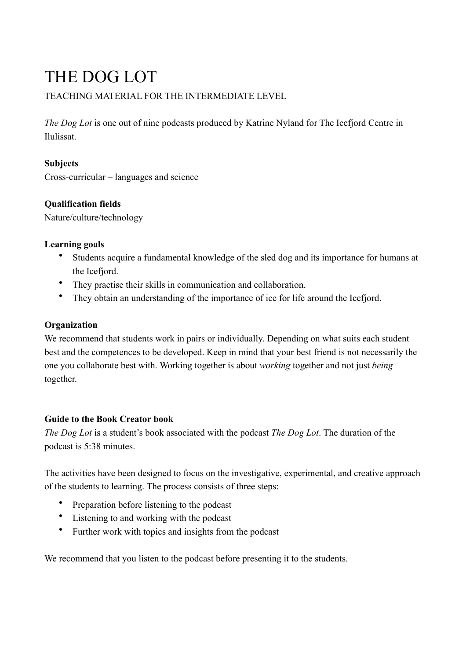# THE DOG LOT

# TEACHING MATERIAL FOR THE INTERMEDIATE LEVEL

*The Dog Lot* is one out of nine podcasts produced by Katrine Nyland for The Icefjord Centre in Ilulissat.

# **Subjects**

Cross-curricular – languages and science

# **Qualification fields**

Nature/culture/technology

#### **Learning goals**

- Students acquire a fundamental knowledge of the sled dog and its importance for humans at the Icefjord.
- They practise their skills in communication and collaboration.
- They obtain an understanding of the importance of ice for life around the Icefjord.

# **Organization**

We recommend that students work in pairs or individually. Depending on what suits each student best and the competences to be developed. Keep in mind that your best friend is not necessarily the one you collaborate best with. Working together is about *working* together and not just *being* together.

# **Guide to the Book Creator book**

*The Dog Lot* is a student's book associated with the podcast *The Dog Lot*. The duration of the podcast is 5:38 minutes.

The activities have been designed to focus on the investigative, experimental, and creative approach of the students to learning. The process consists of three steps:

- Preparation before listening to the podcast
- Listening to and working with the podcast
- Further work with topics and insights from the podcast

We recommend that you listen to the podcast before presenting it to the students.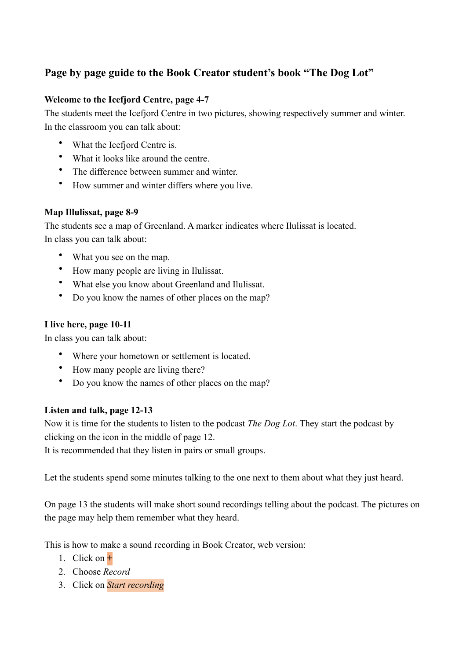# **Page by page guide to the Book Creator student's book "The Dog Lot"**

#### **Welcome to the Icefjord Centre, page 4-7**

The students meet the Icefjord Centre in two pictures, showing respectively summer and winter. In the classroom you can talk about:

- What the Icefjord Centre is.
- What it looks like around the centre.
- The difference between summer and winter.
- How summer and winter differs where you live.

#### **Map Illulissat, page 8-9**

The students see a map of Greenland. A marker indicates where Ilulissat is located. In class you can talk about:

- What you see on the map.
- How many people are living in Ilulissat.
- What else you know about Greenland and Ilulissat.
- Do you know the names of other places on the map?

# **I live here, page 10-11**

In class you can talk about:

- Where your hometown or settlement is located.
- How many people are living there?
- Do you know the names of other places on the map?

# **Listen and talk, page 12-13**

Now it is time for the students to listen to the podcast *The Dog Lot*. They start the podcast by clicking on the icon in the middle of page 12.

It is recommended that they listen in pairs or small groups.

Let the students spend some minutes talking to the one next to them about what they just heard.

On page 13 the students will make short sound recordings telling about the podcast. The pictures on the page may help them remember what they heard.

This is how to make a sound recording in Book Creator, web version:

- 1. Click on **+**
- 2. Choose *Record*
- 3. Click on *Start recording*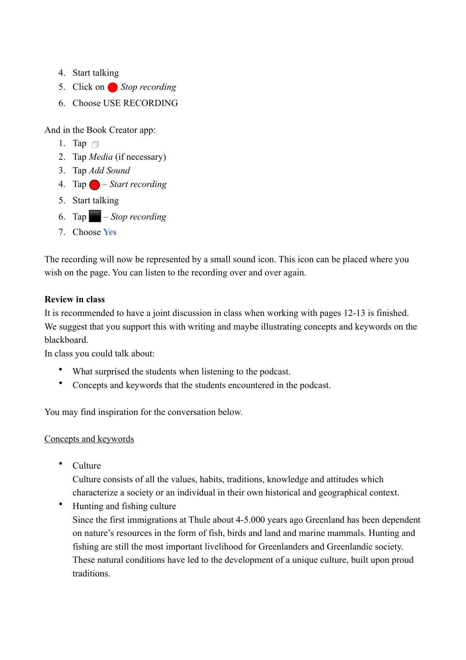- 4. Start talking
- 5. Click on Stop recording
- 6. Choose USE RECORDING

And in the Book Creator app:

- 1. Tap  $\Box$
- 2. Tap *Media* (if necessary)
- 3. Tap *Add Sound*
- 4. Tap ⬤ *Start recording*
- 5. Start talking
- 6. Tap ⬛ *Stop recording*
- 7. Choose **Yes**

The recording will now be represented by a small sound icon. This icon can be placed where you wish on the page. You can listen to the recording over and over again.

#### **Review in class**

It is recommended to have a joint discussion in class when working with pages 12-13 is finished. We suggest that you support this with writing and maybe illustrating concepts and keywords on the blackboard.

In class you could talk about:

- What surprised the students when listening to the podcast.
- Concepts and keywords that the students encountered in the podcast.

You may find inspiration for the conversation below.

#### Concepts and keywords

• Culture

Culture consists of all the values, habits, traditions, knowledge and attitudes which characterize a society or an individual in their own historical and geographical context.

• Hunting and fishing culture Since the first immigrations at Thule about 4-5.000 years ago Greenland has been dependent on nature's resources in the form of fish, birds and land and marine mammals. Hunting and fishing are still the most important livelihood for Greenlanders and Greenlandic society. These natural conditions have led to the development of a unique culture, built upon proud traditions.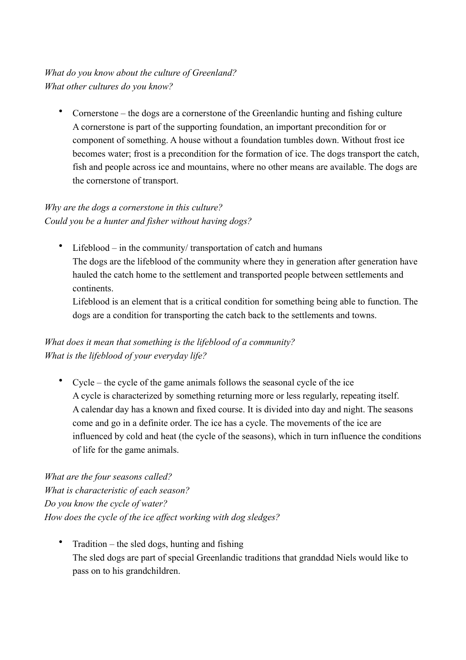# *What do you know about the culture of Greenland? What other cultures do you know?*

• Cornerstone – the dogs are a cornerstone of the Greenlandic hunting and fishing culture A cornerstone is part of the supporting foundation, an important precondition for or component of something. A house without a foundation tumbles down. Without frost ice becomes water; frost is a precondition for the formation of ice. The dogs transport the catch, fish and people across ice and mountains, where no other means are available. The dogs are the cornerstone of transport.

# *Why are the dogs a cornerstone in this culture? Could you be a hunter and fisher without having dogs?*

• Lifeblood – in the community/ transportation of catch and humans The dogs are the lifeblood of the community where they in generation after generation have hauled the catch home to the settlement and transported people between settlements and continents.

Lifeblood is an element that is a critical condition for something being able to function. The dogs are a condition for transporting the catch back to the settlements and towns.

# *What does it mean that something is the lifeblood of a community? What is the lifeblood of your everyday life?*

• Cycle – the cycle of the game animals follows the seasonal cycle of the ice A cycle is characterized by something returning more or less regularly, repeating itself. A calendar day has a known and fixed course. It is divided into day and night. The seasons come and go in a definite order. The ice has a cycle. The movements of the ice are influenced by cold and heat (the cycle of the seasons), which in turn influence the conditions of life for the game animals.

*What are the four seasons called? What is characteristic of each season? Do you know the cycle of water? How does the cycle of the ice affect working with dog sledges?*

 $Tradition - the sled dogs, hunting and fishing$ The sled dogs are part of special Greenlandic traditions that granddad Niels would like to pass on to his grandchildren.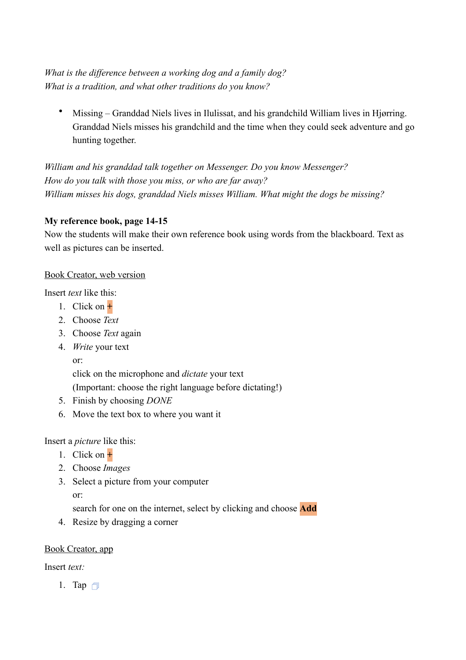*What is the difference between a working dog and a family dog? What is a tradition, and what other traditions do you know?*

• Missing – Granddad Niels lives in Ilulissat, and his grandchild William lives in Hjørring. Granddad Niels misses his grandchild and the time when they could seek adventure and go hunting together.

*William and his granddad talk together on Messenger. Do you know Messenger? How do you talk with those you miss, or who are far away? William misses his dogs, granddad Niels misses William. What might the dogs be missing?*

# **My reference book, page 14-15**

Now the students will make their own reference book using words from the blackboard. Text as well as pictures can be inserted.

#### Book Creator, web version

Insert *text* like this:

- 1. Click on **+**
- 2. Choose *Text*
- 3. Choose *Text* again
- 4. *Write* your text

or:

click on the microphone and *dictate* your text

(Important: choose the right language before dictating!)

- 5. Finish by choosing *DONE*
- 6. Move the text box to where you want it

Insert a *picture* like this:

- 1. Click on **+**
- 2. Choose *Images*
- 3. Select a picture from your computer

or:

search for one on the internet, select by clicking and choose **Add**

4. Resize by dragging a corner

# Book Creator, app

Insert *text:*

1. Tap  $\Box$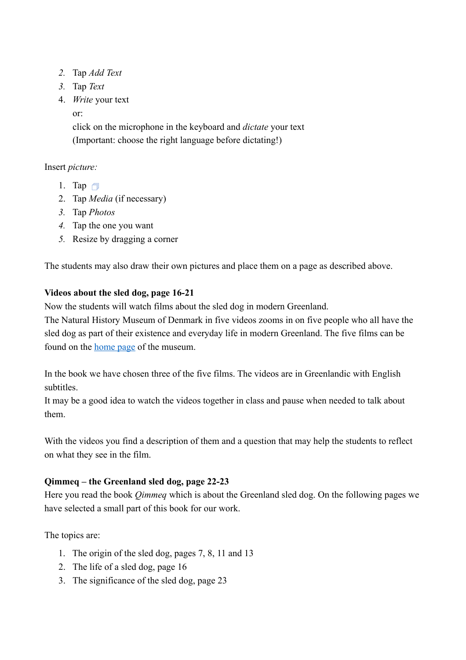- *2.* Tap *Add Text*
- *3.* Tap *Text*
- 4. *Write* your text

or:

click on the microphone in the keyboard and *dictate* your text (Important: choose the right language before dictating!)

Insert *picture:*

- 1. Tap  $\Box$
- 2. Tap *Media* (if necessary)
- *3.* Tap *Photos*
- *4.* Tap the one you want
- *5.* Resize by dragging a corner

The students may also draw their own pictures and place them on a page as described above.

# **Videos about the sled dog, page 16-21**

Now the students will watch films about the sled dog in modern Greenland.

The Natural History Museum of Denmark in five videos zooms in on five people who all have the sled dog as part of their existence and everyday life in modern Greenland. The five films can be found on the [home page](https://snm.ku.dk/skoletjenesten/materialer/qimmeq/) of the museum.

In the book we have chosen three of the five films. The videos are in Greenlandic with English subtitles.

It may be a good idea to watch the videos together in class and pause when needed to talk about them.

With the videos you find a description of them and a question that may help the students to reflect on what they see in the film.

# **Qimmeq – the Greenland sled dog, page 22-23**

Here you read the book *Qimmeq* which is about the Greenland sled dog. On the following pages we have selected a small part of this book for our work.

The topics are:

- 1. The origin of the sled dog, pages 7, 8, 11 and 13
- 2. The life of a sled dog, page 16
- 3. The significance of the sled dog, page 23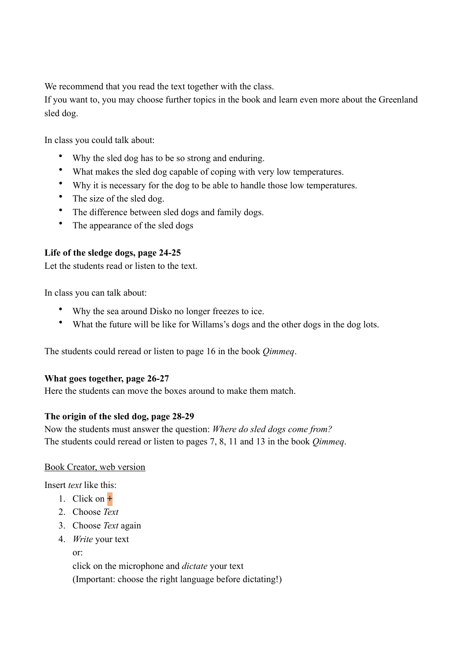We recommend that you read the text together with the class.

If you want to, you may choose further topics in the book and learn even more about the Greenland sled dog.

In class you could talk about:

- Why the sled dog has to be so strong and enduring.
- What makes the sled dog capable of coping with very low temperatures.
- Why it is necessary for the dog to be able to handle those low temperatures.
- The size of the sled dog.
- The difference between sled dogs and family dogs.
- The appearance of the sled dogs

#### **Life of the sledge dogs, page 24-25**

Let the students read or listen to the text.

In class you can talk about:

- Why the sea around Disko no longer freezes to ice.
- What the future will be like for Willams's dogs and the other dogs in the dog lots.

The students could reread or listen to page 16 in the book *Qimmeq*.

#### **What goes together, page 26-27**

Here the students can move the boxes around to make them match.

#### **The origin of the sled dog, page 28-29**

Now the students must answer the question: *Where do sled dogs come from?* The students could reread or listen to pages 7, 8, 11 and 13 in the book *Qimmeq*.

#### Book Creator, web version

Insert *text* like this:

- 1. Click on **+**
- 2. Choose *Text*
- 3. Choose *Text* again
- 4. *Write* your text

or:

click on the microphone and *dictate* your text (Important: choose the right language before dictating!)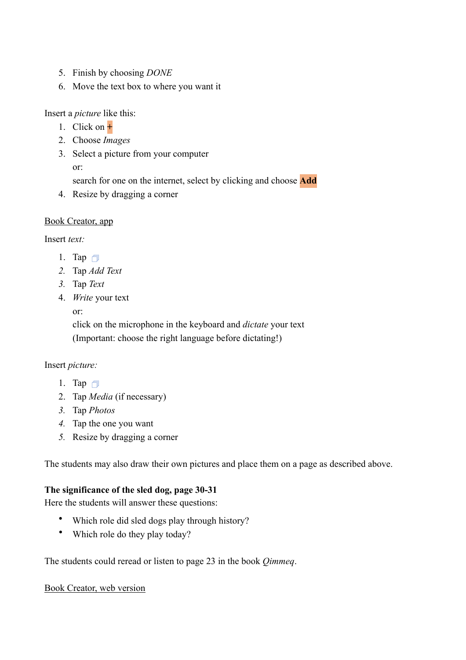- 5. Finish by choosing *DONE*
- 6. Move the text box to where you want it

Insert a *picture* like this:

- 1. Click on **+**
- 2. Choose *Images*
- 3. Select a picture from your computer

or:

search for one on the internet, select by clicking and choose **Add**

4. Resize by dragging a corner

#### Book Creator, app

Insert *text:*

- 1. Tap  $\Box$
- *2.* Tap *Add Text*
- *3.* Tap *Text*
- 4. *Write* your text

or:

click on the microphone in the keyboard and *dictate* your text (Important: choose the right language before dictating!)

#### Insert *picture:*

- 1. Tap  $\Box$
- 2. Tap *Media* (if necessary)
- *3.* Tap *Photos*
- *4.* Tap the one you want
- *5.* Resize by dragging a corner

The students may also draw their own pictures and place them on a page as described above.

# **The significance of the sled dog, page 30-31**

Here the students will answer these questions:

- Which role did sled dogs play through history?
- Which role do they play today?

The students could reread or listen to page 23 in the book *Qimmeq*.

#### Book Creator, web version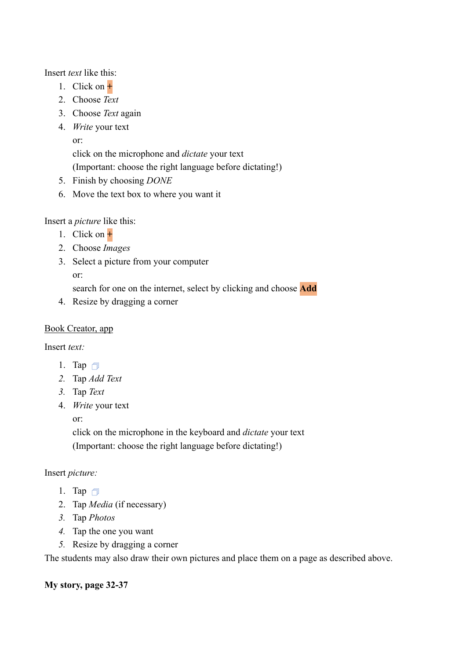Insert *text* like this:

- 1. Click on **+**
- 2. Choose *Text*
- 3. Choose *Text* again
- 4. *Write* your text
	- or:

click on the microphone and *dictate* your text

(Important: choose the right language before dictating!)

- 5. Finish by choosing *DONE*
- 6. Move the text box to where you want it

Insert a *picture* like this:

- 1. Click on **+**
- 2. Choose *Images*
- 3. Select a picture from your computer

or:

search for one on the internet, select by clicking and choose **Add**

4. Resize by dragging a corner

# Book Creator, app

Insert *text:*

- 1. Tap  $\Box$
- *2.* Tap *Add Text*
- *3.* Tap *Text*
- 4. *Write* your text

or:

click on the microphone in the keyboard and *dictate* your text (Important: choose the right language before dictating!)

# Insert *picture:*

- 1. Tap  $\Box$
- 2. Tap *Media* (if necessary)
- *3.* Tap *Photos*
- *4.* Tap the one you want
- *5.* Resize by dragging a corner

The students may also draw their own pictures and place them on a page as described above.

# **My story, page 32-37**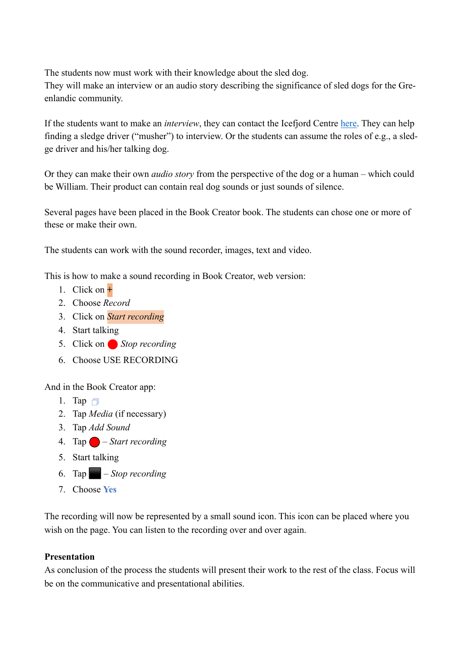The students now must work with their knowledge about the sled dog.

They will make an interview or an audio story describing the significance of sled dogs for the Greenlandic community.

If the students want to make an *interview*, they can contact the Icefjord Centre [here.](https://isfjordscentret.gl/da/planlaeg-dit-besoeg/#kontakt) They can help finding a sledge driver ("musher") to interview. Or the students can assume the roles of e.g., a sledge driver and his/her talking dog.

Or they can make their own *audio story* from the perspective of the dog or a human – which could be William. Their product can contain real dog sounds or just sounds of silence.

Several pages have been placed in the Book Creator book. The students can chose one or more of these or make their own.

The students can work with the sound recorder, images, text and video.

This is how to make a sound recording in Book Creator, web version:

- 1. Click on **+**
- 2. Choose *Record*
- 3. Click on *Start recording*
- 4. Start talking
- 5. Click on Stop recording
- 6. Choose USE RECORDING

And in the Book Creator app:

- 1. Tap  $\Box$
- 2. Tap *Media* (if necessary)
- 3. Tap *Add Sound*
- 4. Tap ⬤ *Start recording*
- 5. Start talking
- 6. Tap ⬛ *Stop recording*
- 7. Choose **Yes**

The recording will now be represented by a small sound icon. This icon can be placed where you wish on the page. You can listen to the recording over and over again.

# **Presentation**

As conclusion of the process the students will present their work to the rest of the class. Focus will be on the communicative and presentational abilities.